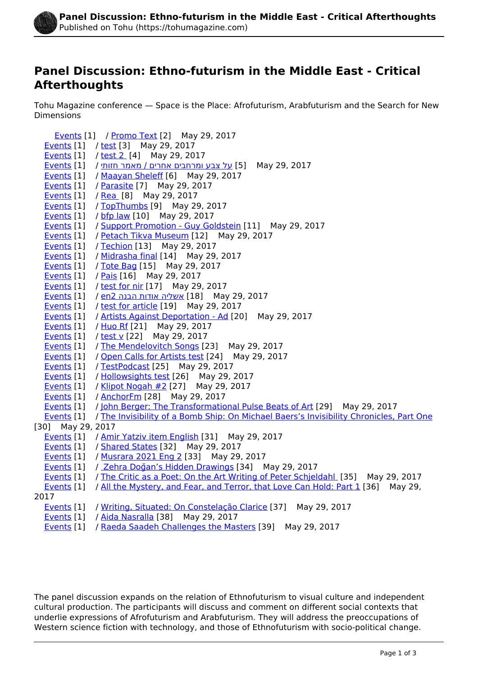

## **Panel Discussion: Ethno-futurism in the Middle East - Critical Afterthoughts**

Tohu Magazine conference — Space is the Place: Afrofuturism, Arabfuturism and the Search for New Dimensions

 [Events](https://tohumagazine.com/publication-types/events) [1] / [Promo Text](https://tohumagazine.com/content/promo-text) [2] May 29, 2017 [Events](https://tohumagazine.com/publication-types/events) [1] / [test](https://tohumagazine.com/content/test) [3] May 29, 2017 [Events](https://tohumagazine.com/publication-types/events) [1] / [test 2](https://tohumagazine.com/content/test-2) [4] May 29, 2017 2017 29, May] 5 [[על צבע ומרחבים אחרים / מאמר חזותי](https://tohumagazine.com/photo-gallery/%D7%A2%D7%9C-%D7%A6%D7%91%D7%A2-%D7%95%D7%9E%D7%A8%D7%97%D7%91%D7%99%D7%9D-%D7%90%D7%97%D7%A8%D7%99%D7%9D-%D7%9E%D7%90%D7%9E%D7%A8-%D7%97%D7%96%D7%95%D7%AA%D7%99) / [1] [Events](https://tohumagazine.com/publication-types/events) [Events](https://tohumagazine.com/publication-types/events) [1] / [Maayan Sheleff](https://tohumagazine.com/profile/maayan-sheleff) [6] May 29, 2017 [Events](https://tohumagazine.com/publication-types/events) [1] / [Parasite](https://tohumagazine.com/content/parasite) [7] May 29, 2017 [Events](https://tohumagazine.com/publication-types/events) [1] / [Rea](https://tohumagazine.com/content/rea) [8] May 29, 2017 [Events](https://tohumagazine.com/publication-types/events) [1] / [TopThumbs](https://tohumagazine.com/content/topthumbs) [9] May 29, 2017 [Events](https://tohumagazine.com/publication-types/events) [1] / [bfp law](https://tohumagazine.com/content/bfp-law) [10] May 29, 2017 [Events](https://tohumagazine.com/publication-types/events) [1] / [Support Promotion - Guy Goldstein](https://tohumagazine.com/content/support-promotion-guy-goldstein) [11] May 29, 2017 [Events](https://tohumagazine.com/publication-types/events) [1] / [Petach Tikva Museum](https://tohumagazine.com/content/petach-tikva-museum) [12] May 29, 2017 [Events](https://tohumagazine.com/publication-types/events) [1] / [Techion](https://tohumagazine.com/content/techion) [13] May 29, 2017 [Events](https://tohumagazine.com/publication-types/events) [1] / [Midrasha final](https://tohumagazine.com/content/midrasha-final) [14] May 29, 2017 [Events](https://tohumagazine.com/publication-types/events) [1] / [Tote Bag](https://tohumagazine.com/content/tote-bag) [15] May 29, 2017 [Events](https://tohumagazine.com/publication-types/events) [1] / [Pais](https://tohumagazine.com/content/pais) [16] May 29, 2017 [Events](https://tohumagazine.com/publication-types/events) [1] / [test for nir](https://tohumagazine.com/article/test-nir) [17] May 29, 2017 2017 29, May 29, 2017 [1] אשליה אודות הבנה 2m2 [1]  $\mu$ ents [1] [Events](https://tohumagazine.com/publication-types/events) [1] / [test for article](https://tohumagazine.com/article/test-article) [19] May 29, 2017 [Events](https://tohumagazine.com/publication-types/events) [1] / [Artists Against Deportation - Ad](https://tohumagazine.com/content/artists-against-deportation-ad) [20] May 29, 2017 [Events](https://tohumagazine.com/publication-types/events) [1] / [Huo Rf](https://tohumagazine.com/profile/huo-rf) [21] May 29, 2017 [Events](https://tohumagazine.com/publication-types/events) [1] / [test v](https://tohumagazine.com/article/test-v) [22] May 29, 2017 [Events](https://tohumagazine.com/publication-types/events) [1] / [The Mendelovitch Songs](https://tohumagazine.com/article/mendelovitch-songs) [23] May 29, 2017 [Events](https://tohumagazine.com/publication-types/events) [1] / [Open Calls for Artists test](https://tohumagazine.com/article/open-calls-artists-test) [24] May 29, 2017 [Events](https://tohumagazine.com/publication-types/events) [1] / [TestPodcast](https://tohumagazine.com/content/testpodcast) [25] May 29, 2017 [Events](https://tohumagazine.com/publication-types/events) [1] / [Hollowsights test](https://tohumagazine.com/article/hollowsights-test) [26] May 29, 2017 [Events](https://tohumagazine.com/publication-types/events) [1] / [Klipot Nogah #2](https://tohumagazine.com/article/klipot-nogah-2) [27] May 29, 2017 [Events](https://tohumagazine.com/publication-types/events) [1] / [AnchorFm](https://tohumagazine.com/content/anchorfm) [28] May 29, 2017 [Events](https://tohumagazine.com/publication-types/events) [1] / [John Berger: The Transformational Pulse Beats of Art](https://tohumagazine.com/article/john-berger-transformational-pulse-beats-art) [29] May 29, 2017 [Events](https://tohumagazine.com/publication-types/events) [1] / [The Invisibility of a Bomb Ship: On Michael Baers's Invisibility Chronicles, Part One](https://tohumagazine.com/article/invisibility-bomb-ship-michael-baers%E2%80%99s-invisibility-chronicles-part-one) [30] May 29, 2017 [Events](https://tohumagazine.com/publication-types/events) [1] / [Amir Yatziv item English](https://tohumagazine.com/article/amir-yatziv-item-english) [31] May 29, 2017 [Events](https://tohumagazine.com/publication-types/events) [1] / [Shared States](https://tohumagazine.com/content/shared-states) [32] May 29, 2017 [Events](https://tohumagazine.com/publication-types/events) [1] / [Musrara 2021 Eng 2](https://tohumagazine.com/content/musrara-2021-eng-2) [33] May 29, 2017 [Events](https://tohumagazine.com/publication-types/events) [1] / [Zehra Doğan's Hidden Drawings](https://tohumagazine.com/article/zehra-dog%CC%86an%E2%80%99s-hidden-drawings) [34] May 29, 2017 [Events](https://tohumagazine.com/publication-types/events) [1] / [The Critic as a Poet: On the Art Writing of Peter Schjeldahl](https://tohumagazine.com/article/critic-poet-art-writing-peter-schjeldahl) [35] May 29, 2017 [Events](https://tohumagazine.com/publication-types/events) [1] / [All the Mystery, and Fear, and Terror, that Love Can Hold: Part 1](https://tohumagazine.com/article/all-mystery-and-fear-and-terror-love-can-hold-part-1) [36] May 29, 2017 [Events](https://tohumagazine.com/publication-types/events) [1] / [Writing, Situated: On Constelação Clarice](https://tohumagazine.com/article/writing-situated-constela%C3%A7%C3%A3o-clarice) [37] May 29, 2017 [Events](https://tohumagazine.com/publication-types/events) [1] / [Aida Nasralla](https://tohumagazine.com/profile/aida-nasralla) [38] May 29, 2017

[Events](https://tohumagazine.com/publication-types/events) [1] / [Raeda Saadeh Challenges the Masters](https://tohumagazine.com/article/raeda-saadeh-challenges-masters) [39] May 29, 2017

The panel discussion expands on the relation of Ethnofuturism to visual culture and independent cultural production. The participants will discuss and comment on different social contexts that underlie expressions of Afrofuturism and Arabfuturism. They will address the preoccupations of Western science fiction with technology, and those of Ethnofuturism with socio-political change.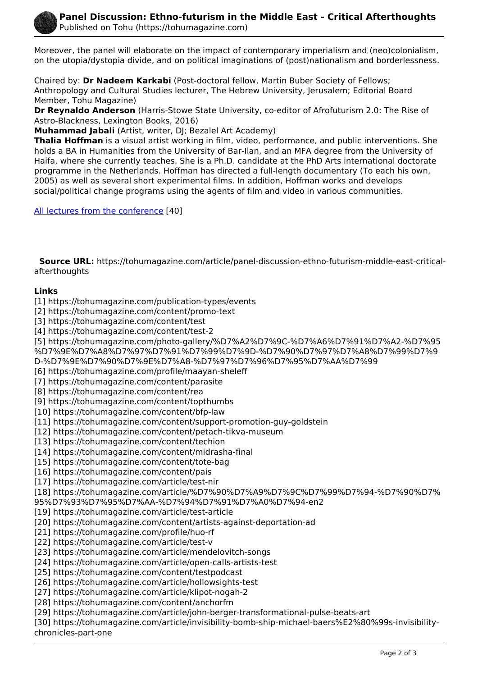

Moreover, the panel will elaborate on the impact of contemporary imperialism and (neo)colonialism, on the utopia/dystopia divide, and on political imaginations of (post)nationalism and borderlessness.

Chaired by: **Dr Nadeem Karkabi** (Post-doctoral fellow, Martin Buber Society of Fellows; Anthropology and Cultural Studies lecturer, The Hebrew University, Jerusalem; Editorial Board Member, Tohu Magazine)

**Dr Reynaldo Anderson** (Harris-Stowe State University, co-editor of Afrofuturism 2.0: The Rise of Astro-Blackness, Lexington Books, 2016)

**Muhammad Jabali** (Artist, writer, DJ; Bezalel Art Academy)

**Thalia Hoffman** is a visual artist working in film, video, performance, and public interventions. She holds a BA in Humanities from the University of Bar-Ilan, and an MFA degree from the University of Haifa, where she currently teaches. She is a Ph.D. candidate at the PhD Arts international doctorate programme in the Netherlands. Hoffman has directed a full-length documentary (To each his own, 2005) as well as several short experimental films. In addition, Hoffman works and develops social/political change programs using the agents of film and video in various communities.

[All lectures from the conference](http://tohumagazine.com/event/space-is-the-place) [40]

 **Source URL:** https://tohumagazine.com/article/panel-discussion-ethno-futurism-middle-east-criticalafterthoughts

## **Links**

[1] https://tohumagazine.com/publication-types/events

[2] https://tohumagazine.com/content/promo-text

[3] https://tohumagazine.com/content/test

[4] https://tohumagazine.com/content/test-2

[5] https://tohumagazine.com/photo-gallery/%D7%A2%D7%9C-%D7%A6%D7%91%D7%A2-%D7%95 %D7%9E%D7%A8%D7%97%D7%91%D7%99%D7%9D-%D7%90%D7%97%D7%A8%D7%99%D7%9

D-%D7%9E%D7%90%D7%9E%D7%A8-%D7%97%D7%96%D7%95%D7%AA%D7%99

[6] https://tohumagazine.com/profile/maayan-sheleff

[7] https://tohumagazine.com/content/parasite

[8] https://tohumagazine.com/content/rea

[9] https://tohumagazine.com/content/topthumbs

[10] https://tohumagazine.com/content/bfp-law

[11] https://tohumagazine.com/content/support-promotion-guy-goldstein

[12] https://tohumagazine.com/content/petach-tikva-museum

[13] https://tohumagazine.com/content/techion

[14] https://tohumagazine.com/content/midrasha-final

[15] https://tohumagazine.com/content/tote-bag

[16] https://tohumagazine.com/content/pais

[17] https://tohumagazine.com/article/test-nir

[18] https://tohumagazine.com/article/%D7%90%D7%A9%D7%9C%D7%99%D7%94-%D7%90%D7%

95%D7%93%D7%95%D7%AA-%D7%94%D7%91%D7%A0%D7%94-en2

[19] https://tohumagazine.com/article/test-article

[20] https://tohumagazine.com/content/artists-against-deportation-ad

[21] https://tohumagazine.com/profile/huo-rf

[22] https://tohumagazine.com/article/test-v

[23] https://tohumagazine.com/article/mendelovitch-songs

[24] https://tohumagazine.com/article/open-calls-artists-test

[25] https://tohumagazine.com/content/testpodcast

[26] https://tohumagazine.com/article/hollowsights-test

[27] https://tohumagazine.com/article/klipot-nogah-2

[28] https://tohumagazine.com/content/anchorfm

[29] https://tohumagazine.com/article/john-berger-transformational-pulse-beats-art

[30] https://tohumagazine.com/article/invisibility-bomb-ship-michael-baers%E2%80%99s-invisibilitychronicles-part-one